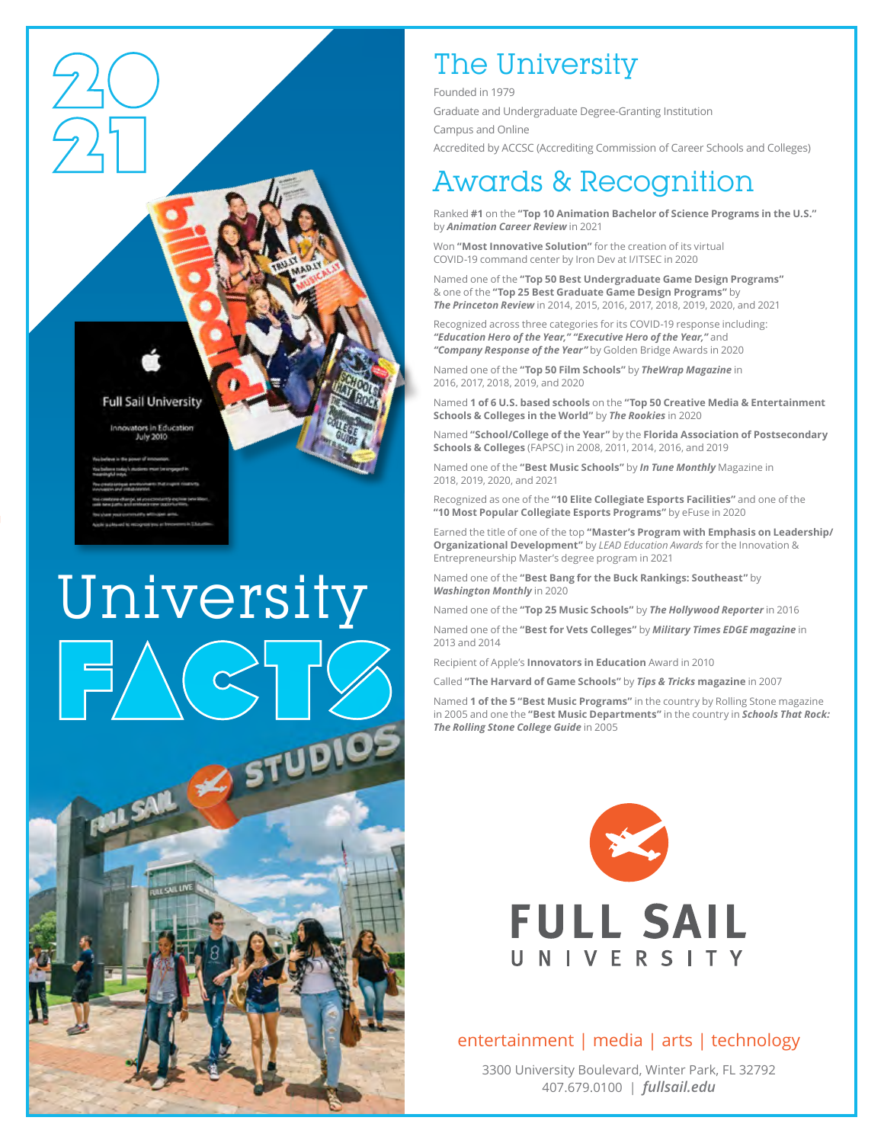

#### **Full Sail University**

novators in Education July 2010

# University **SAIL STUDIOS**

# The University

Founded in 1979

Graduate and Undergraduate Degree-Granting Institution

Campus and Online

Accredited by ACCSC (Accrediting Commission of Career Schools and Colleges)

## Awards & Recognition

Ranked **#1** on the **"Top 10 Animation Bachelor of Science Programs in the U.S."**  by *Animation Career Review* in 2021

Won **"Most Innovative Solution"** for the creation of its virtual COVID-19 command center by Iron Dev at I/ITSEC in 2020

Named one of the **"Top 50 Best Undergraduate Game Design Programs"** & one of the **"Top 25 Best Graduate Game Design Programs"** by *The Princeton Review* in 2014, 2015, 2016, 2017, 2018, 2019, 2020, and 2021

Recognized across three categories for its COVID-19 response including: *"Education Hero of the Year," "Executive Hero of the Year,"* and *"Company Response of the Year"* by Golden Bridge Awards in 2020

Named one of the **"Top 50 Film Schools"** by *TheWrap Magazine* in 2016, 2017, 2018, 2019, and 2020

Named **1 of 6 U.S. based schools** on the **"Top 50 Creative Media & Entertainment Schools & Colleges in the World"** by *The Rookies* in 2020

Named **"School/College of the Year"** by the **Florida Association of Postsecondary Schools & Colleges** (FAPSC) in 2008, 2011, 2014, 2016, and 2019

Named one of the **"Best Music Schools"** by *In Tune Monthly* Magazine in 2018, 2019, 2020, and 2021

Recognized as one of the **"10 Elite Collegiate Esports Facilities"** and one of the **"10 Most Popular Collegiate Esports Programs"** by eFuse in 2020

Earned the title of one of the top **"Master's Program with Emphasis on Leadership/ Organizational Development"** by *LEAD Education Awards* for the Innovation & Entrepreneurship Master's degree program in 2021

Named one of the **"Best Bang for the Buck Rankings: Southeast"** by *Washington Monthly* in 2020

Named one of the **"Top 25 Music Schools"** by *The Hollywood Reporter* in 2016

Named one of the **"Best for Vets Colleges"** by *Military Times EDGE magazine* in 2013 and 2014

Recipient of Apple's **Innovators in Education** Award in 2010

Called **"The Harvard of Game Schools"** by *Tips & Tricks* **magazine** in 2007

Named **1 of the 5 "Best Music Programs"** in the country by Rolling Stone magazine in 2005 and one the **"Best Music Departments"** in the country in *Schools That Rock: The Rolling Stone College Guide* in 2005



## entertainment | media | arts | technology

3300 University Boulevard, Winter Park, FL 32792 407.679.0100 | *fullsail.edu*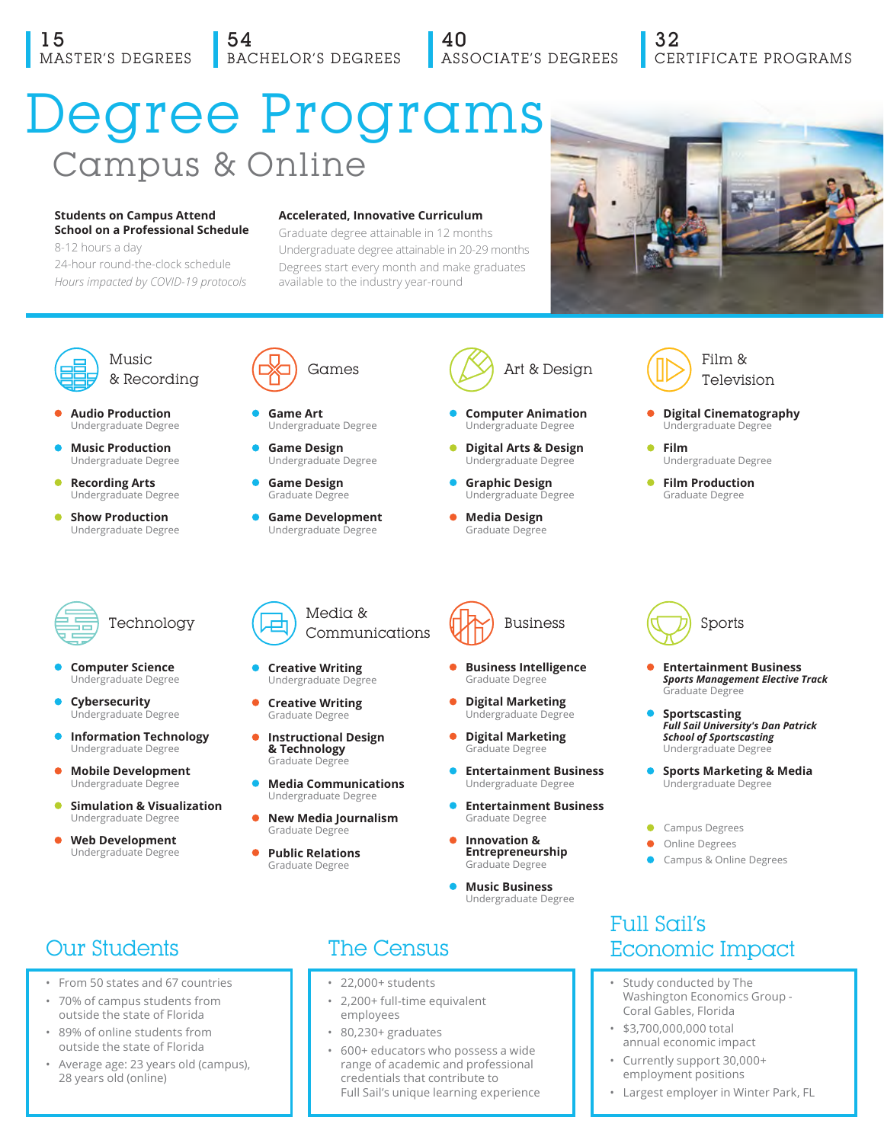## 54 BACHELOR'S DEGREES

40 ASSOCIATE'S DEGREES

## 32 CERTIFICATE PROGRAMS

# Degree Programs Campus & Online

#### **Students on Campus Attend School on a Professional Schedule**

8-12 hours a day 24-hour round-the-clock schedule *Hours impacted by COVID-19 protocols*

#### **Accelerated, Innovative Curriculum**

Graduate degree attainable in 12 months Undergraduate degree attainable in 20-29 months Degrees start every month and make graduates available to the industry year-round





Music & Recording

- **Audio Production** Undergraduate Degree
- **Music Production** Undergraduate Degree
- **Recording Arts** Undergraduate Degree
- **Show Production**  Undergraduate Degree



- **Computer Science** Undergraduate Degree
- **Cybersecurity** dergraduate Degree
- **Information Technology**  Undergraduate Degree
- **Mobile Development** Undergraduate Degree
- **Simulation & Visualization**  Undergraduate Degree
- **Web Development**  Undergraduate Degree



- **Game Art** Undergraduate Degree
- **Game Design** Undergraduate Degree
- **Game Design** Graduate Degree
- **Game Development** Undergraduate Degree

 **Creative Writing** Undergraduate Degree

 $\bullet$ 



 **Business Intelligence**  Graduate Degree

 **Computer Animation**  Undergraduate Degree  **Digital Arts & Design** Undergraduate Degree  **Graphic Design**  Undergraduate Degree  **Media Design** Graduate Degree

Art & Design

- **Digital Marketing**  dergraduate Deg
- **Entertainment Business**  Undergraduate Degree
- **Entertainment Business**  Graduate Degree
- **Innovation & Entrepreneurship**
- **Music Business**

- 
- 2,200+ full-time equivalent employees
- 80,230+ graduates
- 600+ educators who possess a wide range of academic and professional credentials that contribute to Full Sail's unique learning experience



- **Digital Cinematography**  Undergraduate Degree
- **Film** Undergraduate Degree
- **Film Production** Graduate Degree

Business  $\sqrt{\sqrt{2}}$  Sports

- **Entertainment Business**  *Sports Management Elective Track*  Graduate Degree
- **Sportscasting** *Full Sail University's Dan Patrick School of Sportscasting*  Undergraduate Degree
- **Sports Marketing & Media** Undergraduate Degree
- Campus Degrees
- **Online Degrees**
- Campus & Online Degrees

## Full Sail's Economic Impact

- Study conducted by The Washington Economics Group - Coral Gables, Florida
- \$3,700,000,000 total annual economic impact
- Currently support 30,000+ employment positions
- Largest employer in Winter Park, FL

## Our Students

- From 50 states and 67 countries
- 70% of campus students from outside the state of Florida
- 89% of online students from outside the state of Florida
- Average age: 23 years old (campus), 28 years old (online)

 **Creative Writing** Graduate Degree  **Instructional Design & Technology**

- Graduate Degree **• Media Communications**
- Undergraduate Degree  **New Media Journalism** Graduate Degree
- **Public Relations** Graduate Degree



- 
- 
- 
- Graduate Degree
	-
	-
	- Graduate Degree
	- Undergraduate Degree

 **Digital Marketing** 

## The Census

- 22,000+ students
-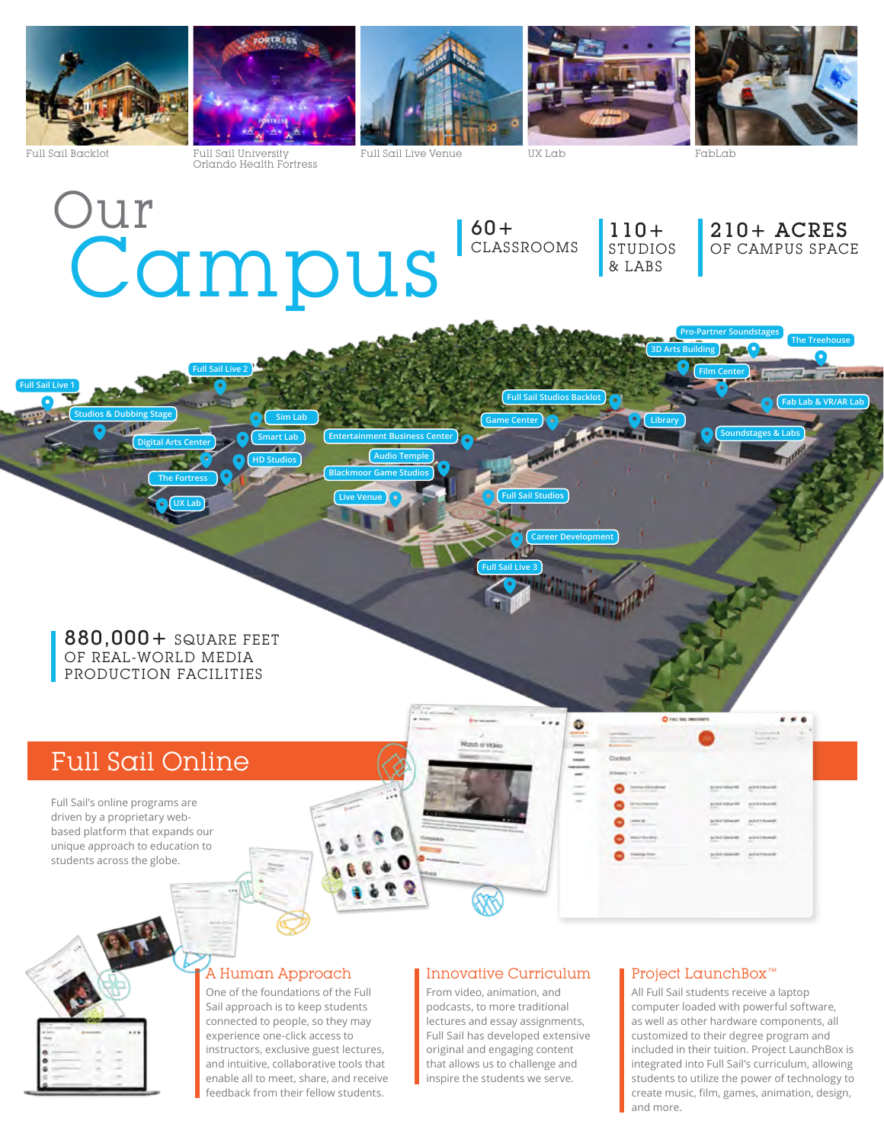

**Full Sail Live 1**

Full Sail Backlot Full Sail University Orlando Health Fortress

**Full Sail Live 2**

Full Sail Live Venue UX Lab FabLab

**Film Center**

**Library**

**3D Arts Building**

Campus Our

**HD Studios**

**Smart Lab Sim Lab** 60+ CLASSROOMS 110+ STUDIOS & LABS

**Career Development**

**Full Sail Studios Backlot**

**Full Sail Live 3**

**Game Center**

**Live Venue Full Sail Studios**

**Audio Temple Blackmoor Game Studios**

**Entertainment Business Center**

210+ ACRES OF CAMPUS SPACE

**Soundstages & Labs**

**Fab Lab & VR/AR Lab**

**The Treehouse** 

880,000+ SQUARE FEET OF REAL-WORLD MEDIA PRODUCTION FACILITIES

**UX Lab The Fortress**

**Digital Arts Center**

**Studios & Dubbing Stage**

## Full Sail Online

Full Sail's online programs are driven by a proprietary webbased platform that expands our unique approach to education to students across the globe.



#### A Human Approach

One of the foundations of the Full Sail approach is to keep students connected to people, so they may experience one-click access to instructors, exclusive guest lectures, and intuitive, collaborative tools that enable all to meet, share, and receive feedback from their fellow students.

#### Innovative Curriculum

From video, animation, and podcasts, to more traditional lectures and essay assignments, Full Sail has developed extensive original and engaging content that allows us to challenge and inspire the students we serve.

#### Project LaunchBox™

All Full Sail students receive a laptop computer loaded with powerful software, as well as other hardware components, all customized to their degree program and included in their tuition. Project LaunchBox is integrated into Full Sail's curriculum, allowing students to utilize the power of technology to create music, film, games, animation, design, and more.